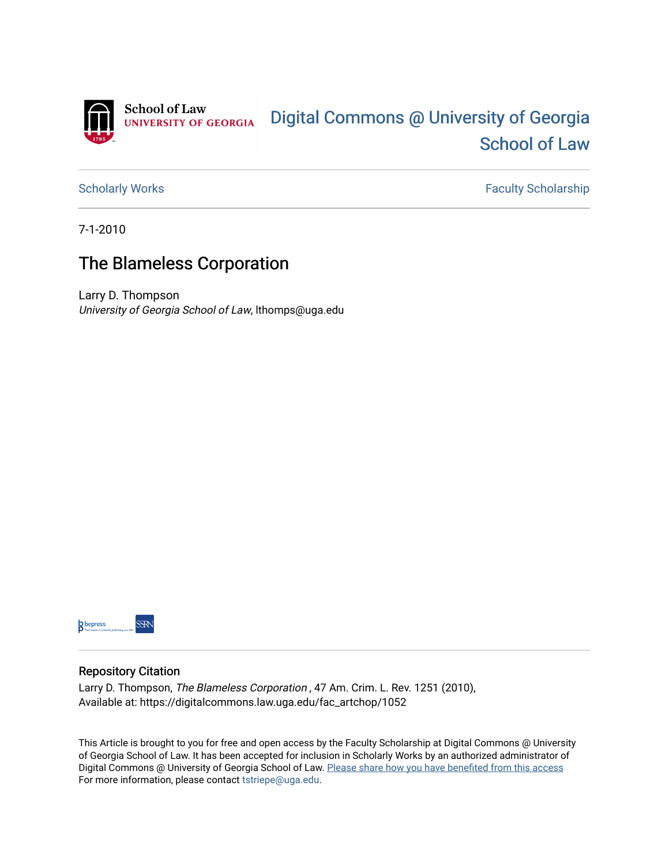

[Scholarly Works](https://digitalcommons.law.uga.edu/fac_artchop) **Faculty Scholarship** Scholarship

7-1-2010

# The Blameless Corporation

Larry D. Thompson University of Georgia School of Law, lthomps@uga.edu



## Repository Citation

Larry D. Thompson, The Blameless Corporation , 47 Am. Crim. L. Rev. 1251 (2010), Available at: https://digitalcommons.law.uga.edu/fac\_artchop/1052

This Article is brought to you for free and open access by the Faculty Scholarship at Digital Commons @ University of Georgia School of Law. It has been accepted for inclusion in Scholarly Works by an authorized administrator of Digital Commons @ University of Georgia School of Law. Please share how you have benefited from this access For more information, please contact [tstriepe@uga.edu](mailto:tstriepe@uga.edu).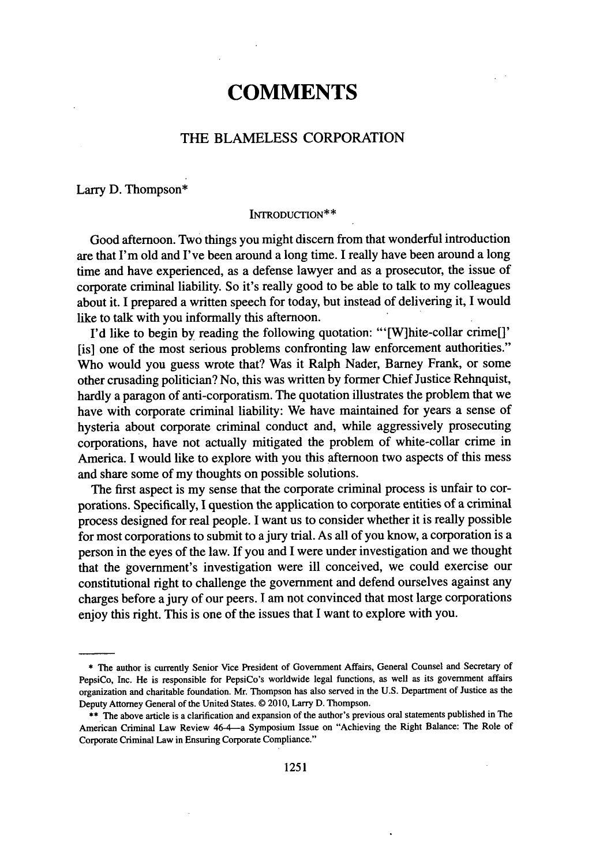# **COMMENTS**

### THE **BLAMELESS** CORPORATION

#### Larry **D.** Thompson\*

#### **INTRODUCTION\*\***

Good afternoon. Two things you might discern from that wonderful introduction are that I'm old and I've been around a long time. **I** really have been around a long time and have experienced, as a defense lawyer and as a prosecutor, the issue of corporate criminal liability. So it's really good to be able to talk to my colleagues about it. **I** prepared a written speech for today, but instead of delivering it, **I** would like to talk with you informally this afternoon.

**I'd** like to begin **by** reading the following quotation: "'[W]hite-collar crime[]' [is] one of the most serious problems confronting law enforcement authorities." Who would you guess wrote that? Was it Ralph Nader, Barney Frank, or some other crusading politician? No, this was written **by** former Chief Justice Rehnquist, hardly a paragon of anti-corporatism. The quotation illustrates the problem that we have with corporate criminal liability: We have maintained for years a sense of hysteria about corporate criminal conduct and, while aggressively prosecuting corporations, have not actually mitigated the problem of white-collar crime in America. **I** would like to explore with you this afternoon two aspects of this mess and share some of my thoughts on possible solutions.

The first aspect is my sense that the corporate criminal process is unfair to corporations. Specifically, **I** question the application to corporate entities of a criminal process designed for real people. **I** want us to consider whether it is really possible for most corporations to submit to a jury trial. As all of you know, a corporation is a person in the eyes of the law. If you and **I** were under investigation and we thought that the government's investigation were ill conceived, we could exercise our constitutional right to challenge the government and defend ourselves against any charges before a jury of our peers. **I** am not convinced that most large corporations enjoy this right. This is one of the issues that **I** want to explore with you.

**<sup>\*</sup>** The author is currently Senior Vice President of Government Affairs, General Counsel and Secretary of PepsiCo, Inc. He is responsible for PepsiCo's worldwide legal functions, as well as its government affairs organization and charitable foundation. Mr. Thompson has also served in the **U.S.** Department of Justice as the Deputy Attorney General of the United States. @ **2010,** Larry **D.** Thompson.

<sup>\*\*</sup> The above article is a clarification and expansion of the author's previous oral statements published in The American Criminal Law Review 46-4-a Symposium Issue on "Achieving the Right Balance: The Role of Corporate Criminal Law in Ensuring Corporate Compliance."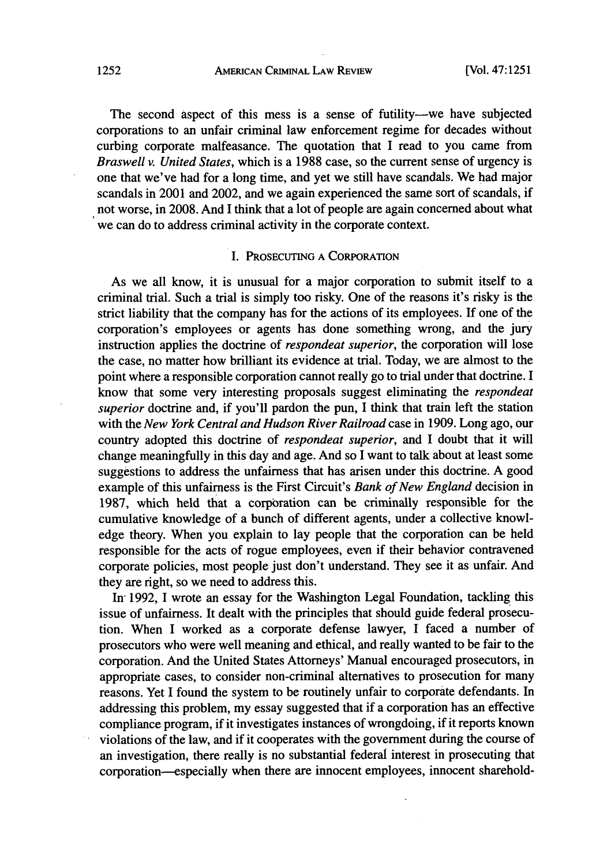#### **AMEIuCAN** CiUMiNAL **LAW REvIEw 1252** [Vol. 47:1251

The second aspect of this mess is a sense of futility—we have subjected corporations to an unfair criminal law enforcement regime for decades without curbing corporate malfeasance. The quotation that **I** read to you came from *Braswell v. United States,* which is a **1988** case, so the current sense of urgency is one that we've had for a long time, and yet we still have scandals. We had major scandals in 2001 and 2002, and we again experienced the same sort of scandals, if not worse, in **2008.** And **I** think that a lot of people are again concerned about what we can do to address criminal activity in the corporate context.

### I. **PROSECUTING A** CORPORATION

As we all know, it is unusual for a major corporation to submit itself to a criminal trial. Such a trial is simply too risky. One of the reasons it's risky is the strict liability that the company has for the actions of its employees. **If** one of the corporation's employees or agents has done something wrong, and the jury instruction applies the doctrine of *respondeat superior,* the corporation will lose the case, no matter how brilliant its evidence at trial. Today, we are almost to the point where a responsible corporation cannot really go to trial under that doctrine. I know that some very interesting proposals suggest eliminating the *respondeat superior* doctrine and, if you'll pardon the pun, I think that train left the station with the *New York Central and Hudson River Railroad* case in **1909.** Long ago, our country adopted this doctrine of *respondeat superior, and* **I** doubt that it will change meaningfully in this day and age. And so I want to talk about at least some suggestions to address the unfairness that has arisen under this doctrine. **A** good example of this unfairness is the First Circuit's *Bank of New England* decision in **1987,** which held that a corporation can be criminally responsible for the cumulative knowledge of a bunch of different agents, under a collective knowledge theory. When you explain to lay people that the corporation can be held responsible for the acts of rogue employees, even if their behavior contravened corporate policies, most people just don't understand. They see it as unfair. And they are right, so we need to address this.

In **1992,** I wrote an essay for the Washington Legal Foundation, tackling this issue of unfairness. It dealt with the principles that should guide federal prosecution. When I worked as a corporate defense lawyer, **I** faced a number of prosecutors who were well meaning and ethical, and really wanted to be fair to the corporation. And the United States Attorneys' Manual encouraged prosecutors, in appropriate cases, to consider non-criminal alternatives to prosecution for many reasons. Yet I found the system to be routinely unfair to corporate defendants. In addressing this problem, my essay suggested that if a corporation has an effective compliance program, if it investigates instances of wrongdoing, if it reports known violations of the law, and if it cooperates with the government during the course of an investigation, there really is no substantial federal interest in prosecuting that corporation-especially when there are innocent employees, innocent sharehold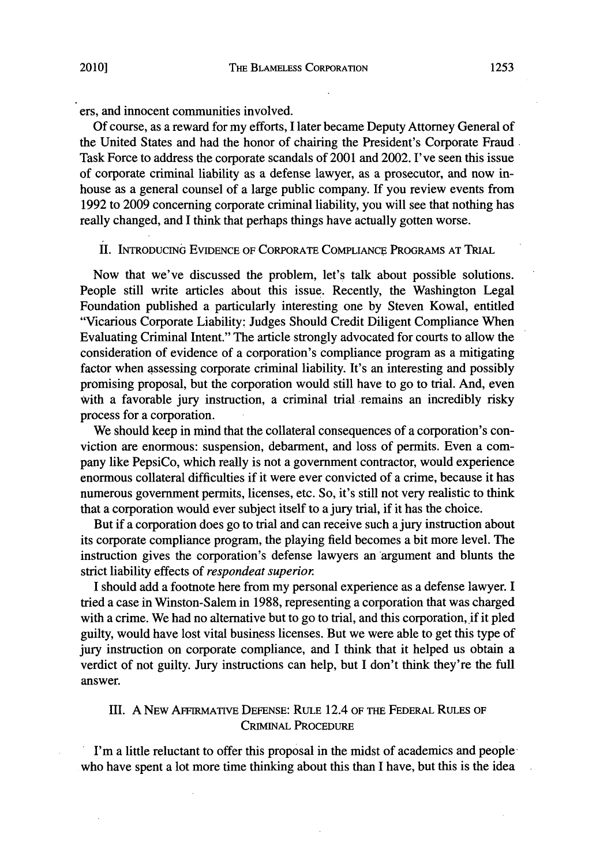ers, and innocent communities involved.

**Of** course, as a reward for my efforts, **I** later became Deputy Attorney General of the United States and had the honor of chairing the President's Corporate Fraud, Task Force to address the corporate scandals of 2001 and 2002. I've seen this issue of corporate criminal liability as a defense lawyer, as a prosecutor, and now inhouse as a general counsel of a large public company. **If** you review events from **1992** to **2009** concerning corporate criminal liability, you will see that nothing has really changed, and **I** think that perhaps things have actually gotten worse.

## II. INTRODUCING **EVIDENCE OF CORPORATE COMPLIANCE** PROGRAMS **AT** TRIAL

Now that we've discussed the problem, let's talk about possible solutions. People still write articles about this issue. Recently, the Washington Legal Foundation published a particularly interesting one **by** Steven Kowal, entitled "Vicarious Corporate Liability; Judges Should Credit Diligent Compliance When Evaluating Criminal Intent." The article strongly advocated for courts to allow the consideration of evidence of a corporation's compliance program as a mitigating factor when assessing corporate criminal liability. It's an interesting and possibly promising proposal, but the corporation would still have to go to trial. And, even with a favorable jury instruction, a criminal trial remains an incredibly risky process for a corporation.

We should keep in mind that the collateral consequences of a corporation's conviction are enormous: suspension, debarment, and loss of permits. Even a company like PepsiCo, which really is not a government contractor, would experience enormous collateral difficulties if it were ever convicted of a crime, because it has numerous government permits, licenses, etc. So, it's still not very realistic to think that a corporation would ever subject itself to a jury trial, if it has the choice.

But if a corporation does go to trial and can receive such a jury instruction about its corporate compliance program, the playing field becomes a bit more level. The instruction gives the corporation's defense lawyers an argument and blunts the strict liability effects of *respondeat superior*

**I** should add a footnote here from my personal experience as a defense lawyer. I tried a case in Winston-Salem in **1988,** representing a corporation that was charged with a crime. We had no alternative but to go to trial, and this corporation, if it pled guilty, would have lost vital business licenses. But we were able to get this type of jury instruction on corporate compliance, and I think that it helped us obtain a verdict of not guilty. Jury instructions can help, but **I** don't think they're the full answer.

# **Ill. A** NEw AFFIRMATIVE **DEFENSE:** RULE 12.4 **OF** THE FEDERAL **RULES** OF **CRIMINAL PROCEDURE**

I'm a little reluctant to offer this proposal in the midst of academics and people who have spent a lot more time thinking about this than I have, but this is the idea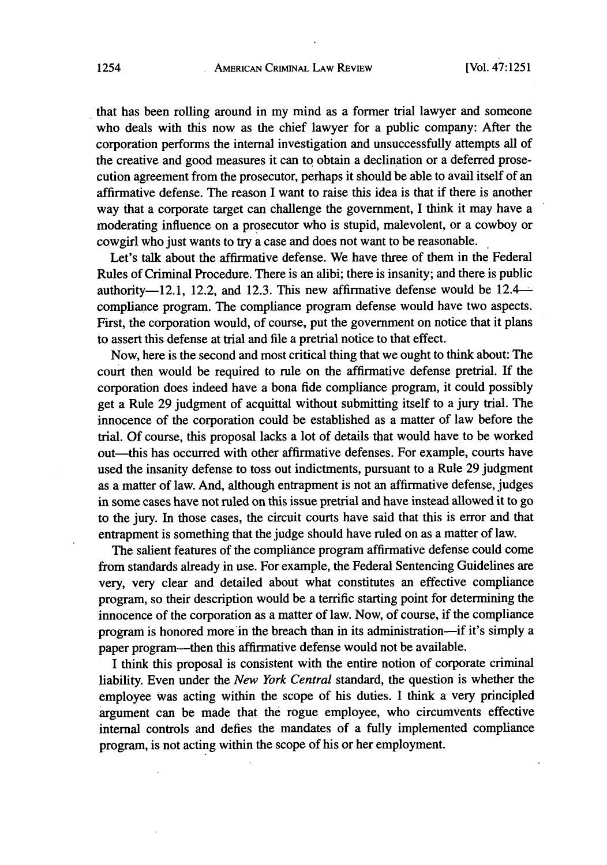that has been rolling around in my mind as a former trial lawyer and someone who deals with this now as the *chief* lawyer for a public company: After the corporation performs the internal investigation and unsuccessfully attempts all of the creative and good measures it can to obtain a declination or a deferred prosecution agreement from the prosecutor, perhaps it should be able to avail itself of an affirmative defense. The reason I want to raise this idea is that if there is another way that a corporate target can challenge the government, **I** think it may have a moderating influence on a prosecutor who is stupid, malevolent, or a cowboy or cowgirl who just wants to try a case and does not want to be reasonable.

Let's talk about the affirmative defense. We have three of them in the Federal Rules of Criminal Procedure. There is an alibi; there is insanity; and there is public authority-12.1, 12.2, and 12.3. This new affirmative defense would be  $12.4$ compliance program. The compliance program defense would have two aspects. First, the corporation would, of course, put the government on notice that it plans to assert this defense at trial and file a pretrial notice to that effect.

Now, here is the second and most critical thing that we ought to think about: The court then would be required to rule on the affirmative defense pretrial. If the corporation does indeed have a bona fide compliance program, it could possibly get a Rule **29** judgment of acquittal without submitting itself to a jury trial. The innocence of the corporation could be established as a matter of law before the trial. **Of** course, this proposal lacks a lot of details that would have to be worked out-this has occurred with other affirmative defenses. For example, courts have used the insanity defense to toss out indictments, pursuant to a Rule **29** judgment as a matter of law. And, although entrapment is not an affirmative defense, judges in some cases have not ruled on this issue pretrial and have instead allowed it to go to the jury. In those cases, the circuit courts have said that this is error and that entrapment is something that the judge should have ruled on as a matter of law.

The salient features of the compliance program affirmative defense could come from standards already in use. For example, the Federal Sentencing Guidelines are very, very clear and detailed about what constitutes an effective compliance program, so their description would be a terrific starting point for determining the innocence of the corporation as a matter of law. Now, of course, if the compliance program is honored more in the breach than in its administration—if it's simply a paper program-then this affirmative defense would not be available.

I think this proposal is consistent with the entire notion of corporate criminal liability. Even under the *New York Central* standard, the question is whether the employee was acting within the scope of his duties. I think a very principled argument can be made that the rogue employee, who circumvents effective internal controls and defies the mandates of a fully implemented compliance program, is not acting within the scope of his or her employment.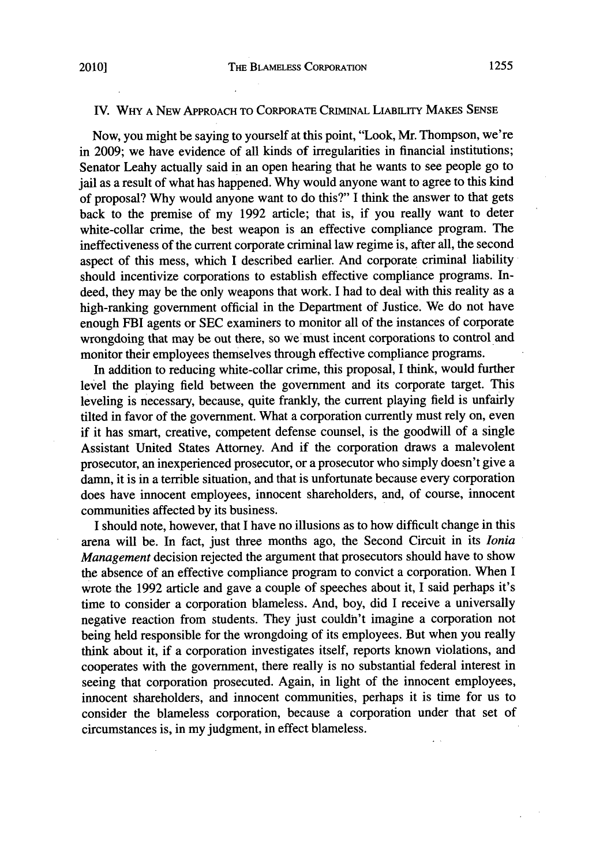#### IV. WHY A NEW APPROACH TO CORPORATE CRIMINAL LIABILITY MAKES SENSE

Now, you might be saying to yourself at this point, "Look, Mr. Thompson, we're in **2009;** we have evidence of all kinds of irregularities in financial institutions; Senator Leahy actually said in an open hearing that he wants to see people go to jail as a result of what has happened. **Why** would anyone want to agree to this kind of proposal? **Why** would anyone want to do this?" **I** think the answer to that gets back to the premise of my **1992** article; that is, if you really want to deter white-collar crime, the best weapon is an effective compliance program. The ineffectiveness of the current corporate criminal law regime is, after all, the second aspect of this mess, which I described earlier. And corporate criminal liability should incentivize corporations to establish effective compliance programs. Indeed, they may be the only weapons that work. I had to deal with this reality as a high-ranking government official in the Department of Justice. We do not have enough FBI agents or **SEC** examiners to monitor all of the instances of corporate wrongdoing that may be out there, so we must incent corporations to control and monitor their employees themselves through effective compliance programs.

In addition to reducing white-collar crime, this proposal, I think, would further level the playing field between the government and its corporate target. This leveling is necessary, because, quite frankly, the current playing field is unfairly tilted in favor of the government. What a corporation currently must rely on, even if it has smart, creative, competent defense counsel, is the goodwill of a single Assistant United States Attorney. And if the corporation draws a malevolent prosecutor, an inexperienced prosecutor, or a prosecutor who simply doesn't give a damn, it is in a terrible situation, and that is unfortunate because every corporation does have innocent employees, innocent shareholders, and, of course, innocent communities affected **by** its business.

I should note, however, that I have no illusions as to how difficult change in this arena will be. In fact, just three months ago, the Second Circuit in its *lonia Management* decision rejected the argument that prosecutors should have to show the absence of an effective compliance program to convict a corporation. When **I** wrote the **1992** article and gave a couple of speeches about it, **I** said perhaps it's time to consider a corporation blameless. And, boy, did I receive a universally negative reaction from students. They just couldn't imagine a corporation not being held responsible for the wrongdoing of its employees. But when you really think about it, if a corporation investigates itself, reports known violations, and cooperates with the government, there really is no substantial federal interest in seeing that corporation prosecuted. Again, in light of the innocent employees, innocent shareholders, and innocent communities, perhaps it is time for us to consider the blameless corporation, because a corporation under that set of circumstances is, in my judgment, in effect blameless.